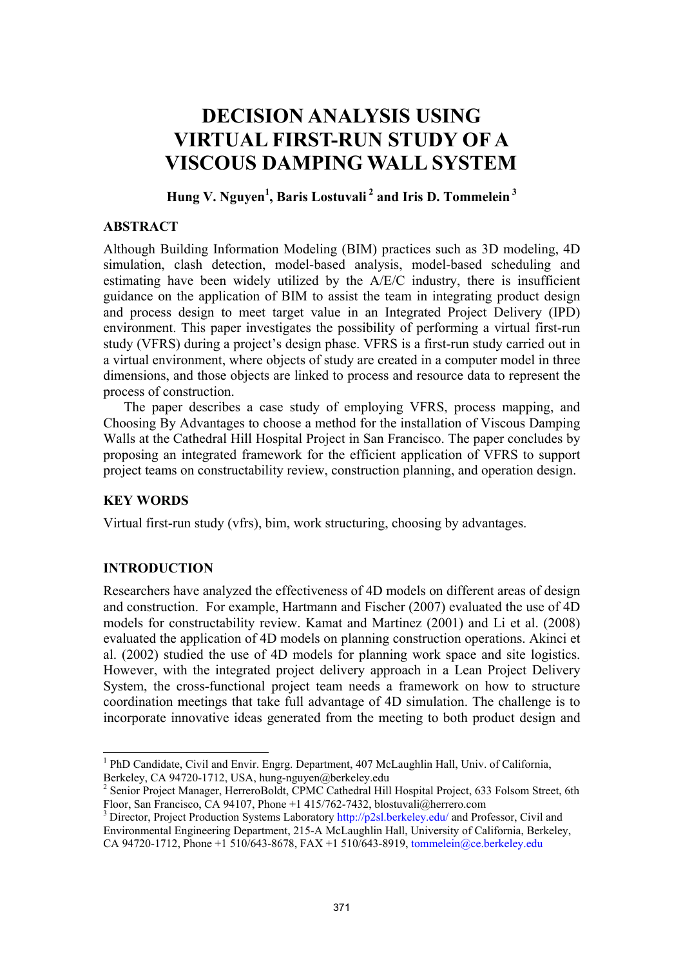# **DECISION ANALYSIS USING VIRTUAL FIRST-RUN STUDY OF A VISCOUS DAMPING WALL SYSTEM**

# **Hung V. Nguyen1 , Baris Lostuvali 2 and Iris D. Tommelein 3**

#### **ABSTRACT**

Although Building Information Modeling (BIM) practices such as 3D modeling, 4D simulation, clash detection, model-based analysis, model-based scheduling and estimating have been widely utilized by the A/E/C industry, there is insufficient guidance on the application of BIM to assist the team in integrating product design and process design to meet target value in an Integrated Project Delivery (IPD) environment. This paper investigates the possibility of performing a virtual first-run study (VFRS) during a project's design phase. VFRS is a first-run study carried out in a virtual environment, where objects of study are created in a computer model in three dimensions, and those objects are linked to process and resource data to represent the process of construction.

The paper describes a case study of employing VFRS, process mapping, and Choosing By Advantages to choose a method for the installation of Viscous Damping Walls at the Cathedral Hill Hospital Project in San Francisco. The paper concludes by proposing an integrated framework for the efficient application of VFRS to support project teams on constructability review, construction planning, and operation design.

# **KEY WORDS**

Virtual first-run study (vfrs), bim, work structuring, choosing by advantages.

#### **INTRODUCTION**

 $\overline{\phantom{a}}$ 

Researchers have analyzed the effectiveness of 4D models on different areas of design and construction. For example, Hartmann and Fischer (2007) evaluated the use of 4D models for constructability review. Kamat and Martinez (2001) and Li et al. (2008) evaluated the application of 4D models on planning construction operations. Akinci et al. (2002) studied the use of 4D models for planning work space and site logistics. However, with the integrated project delivery approach in a Lean Project Delivery System, the cross-functional project team needs a framework on how to structure coordination meetings that take full advantage of 4D simulation. The challenge is to incorporate innovative ideas generated from the meeting to both product design and

<sup>&</sup>lt;sup>1</sup> PhD Candidate, Civil and Envir. Engrg. Department, 407 McLaughlin Hall, Univ. of California, Berkeley, CA 94720-1712, USA, hung-nguyen@berkeley.edu

<sup>&</sup>lt;sup>2</sup> Senior Project Manager, HerreroBoldt, CPMC Cathedral Hill Hospital Project, 633 Folsom Street, 6th Floor, San Francisco, CA 94107, Phone +1 415/762-7432, blostuvali@herrero.com

<sup>&</sup>lt;sup>3</sup> Director, Project Production Systems Laboratory http://p2sl.berkeley.edu/ and Professor, Civil and Environmental Engineering Department, 215-A McLaughlin Hall, University of California, Berkeley,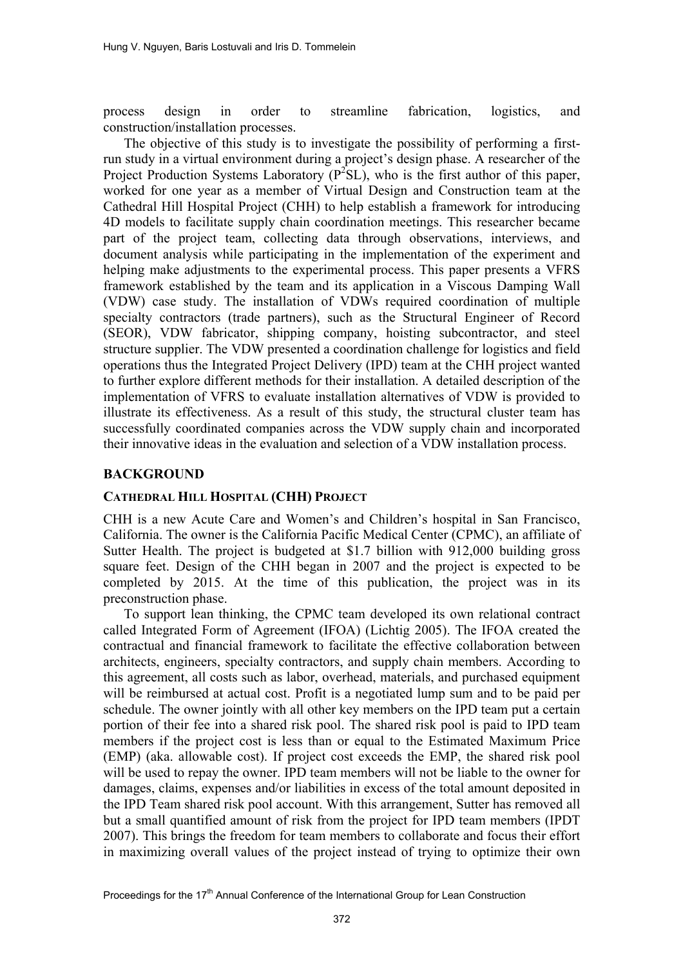process design in order to streamline fabrication, logistics, and construction/installation processes.

The objective of this study is to investigate the possibility of performing a firstrun study in a virtual environment during a project's design phase. A researcher of the Project Production Systems Laboratory  $(P^2SL)$ , who is the first author of this paper, worked for one year as a member of Virtual Design and Construction team at the Cathedral Hill Hospital Project (CHH) to help establish a framework for introducing 4D models to facilitate supply chain coordination meetings. This researcher became part of the project team, collecting data through observations, interviews, and document analysis while participating in the implementation of the experiment and helping make adjustments to the experimental process. This paper presents a VFRS framework established by the team and its application in a Viscous Damping Wall (VDW) case study. The installation of VDWs required coordination of multiple specialty contractors (trade partners), such as the Structural Engineer of Record (SEOR), VDW fabricator, shipping company, hoisting subcontractor, and steel structure supplier. The VDW presented a coordination challenge for logistics and field operations thus the Integrated Project Delivery (IPD) team at the CHH project wanted to further explore different methods for their installation. A detailed description of the implementation of VFRS to evaluate installation alternatives of VDW is provided to illustrate its effectiveness. As a result of this study, the structural cluster team has successfully coordinated companies across the VDW supply chain and incorporated their innovative ideas in the evaluation and selection of a VDW installation process.

## **BACKGROUND**

#### **CATHEDRAL HILL HOSPITAL (CHH) PROJECT**

CHH is a new Acute Care and Women's and Children's hospital in San Francisco, California. The owner is the California Pacific Medical Center (CPMC), an affiliate of Sutter Health. The project is budgeted at \$1.7 billion with 912,000 building gross square feet. Design of the CHH began in 2007 and the project is expected to be completed by 2015. At the time of this publication, the project was in its preconstruction phase.

To support lean thinking, the CPMC team developed its own relational contract called Integrated Form of Agreement (IFOA) (Lichtig 2005). The IFOA created the contractual and financial framework to facilitate the effective collaboration between architects, engineers, specialty contractors, and supply chain members. According to this agreement, all costs such as labor, overhead, materials, and purchased equipment will be reimbursed at actual cost. Profit is a negotiated lump sum and to be paid per schedule. The owner jointly with all other key members on the IPD team put a certain portion of their fee into a shared risk pool. The shared risk pool is paid to IPD team members if the project cost is less than or equal to the Estimated Maximum Price (EMP) (aka. allowable cost). If project cost exceeds the EMP, the shared risk pool will be used to repay the owner. IPD team members will not be liable to the owner for damages, claims, expenses and/or liabilities in excess of the total amount deposited in the IPD Team shared risk pool account. With this arrangement, Sutter has removed all but a small quantified amount of risk from the project for IPD team members (IPDT 2007). This brings the freedom for team members to collaborate and focus their effort in maximizing overall values of the project instead of trying to optimize their own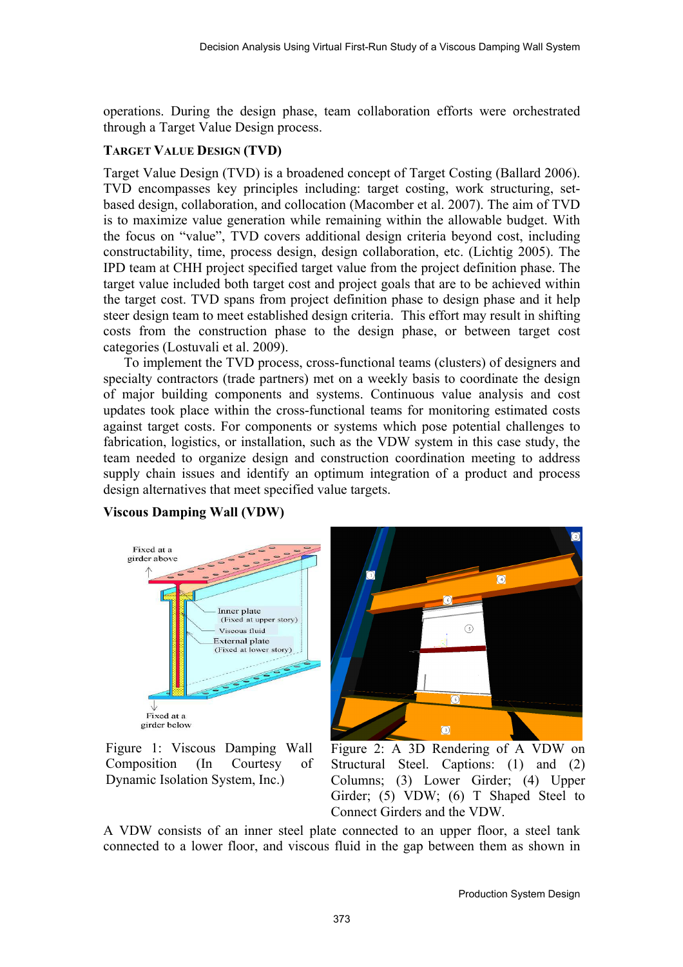operations. During the design phase, team collaboration efforts were orchestrated through a Target Value Design process.

## **TARGET VALUE DESIGN (TVD)**

Target Value Design (TVD) is a broadened concept of Target Costing (Ballard 2006). TVD encompasses key principles including: target costing, work structuring, setbased design, collaboration, and collocation (Macomber et al. 2007). The aim of TVD is to maximize value generation while remaining within the allowable budget. With the focus on "value", TVD covers additional design criteria beyond cost, including constructability, time, process design, design collaboration, etc. (Lichtig 2005). The IPD team at CHH project specified target value from the project definition phase. The target value included both target cost and project goals that are to be achieved within the target cost. TVD spans from project definition phase to design phase and it help steer design team to meet established design criteria. This effort may result in shifting costs from the construction phase to the design phase, or between target cost categories (Lostuvali et al. 2009).

To implement the TVD process, cross-functional teams (clusters) of designers and specialty contractors (trade partners) met on a weekly basis to coordinate the design of major building components and systems. Continuous value analysis and cost updates took place within the cross-functional teams for monitoring estimated costs against target costs. For components or systems which pose potential challenges to fabrication, logistics, or installation, such as the VDW system in this case study, the team needed to organize design and construction coordination meeting to address supply chain issues and identify an optimum integration of a product and process design alternatives that meet specified value targets.



Figure 1: Viscous Damping Wall Composition (In Courtesy of

# **Viscous Damping Wall (VDW)**

Figure 2: A 3D Rendering of A VDW on Structural Steel. Captions: (1) and (2) Columns; (3) Lower Girder; (4) Upper Girder; (5) VDW; (6) T Shaped Steel to Connect Girders and the VDW.

 $\odot$ 

Dynamic Isolation System, Inc.)

A VDW consists of an inner steel plate connected to an upper floor, a steel tank connected to a lower floor, and viscous fluid in the gap between them as shown in

 $\odot$ 

 $\odot$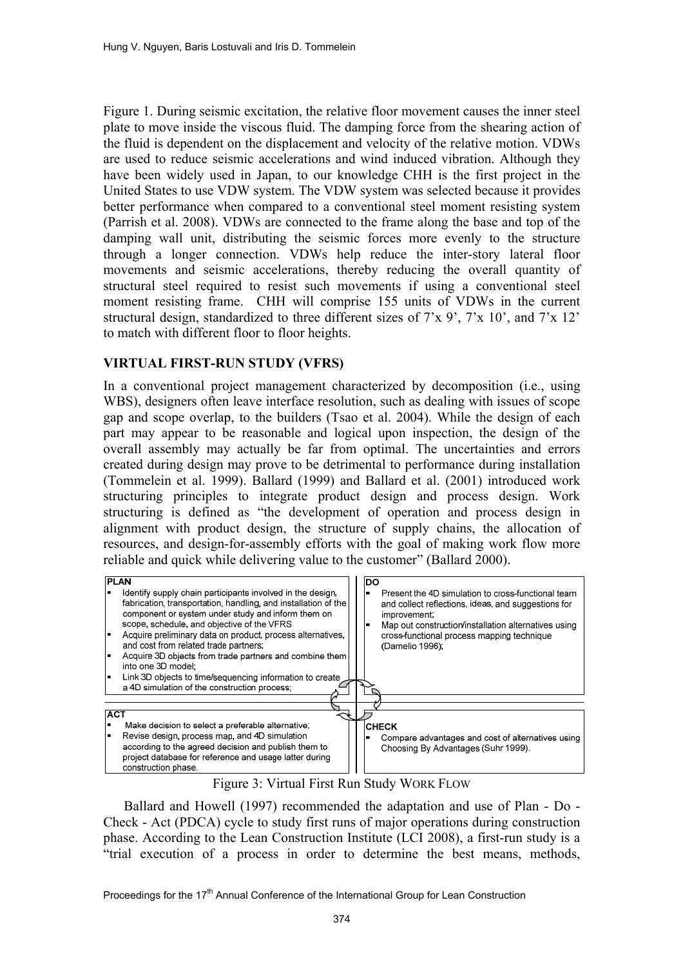Figure 1. During seismic excitation, the relative floor movement causes the inner steel plate to move inside the viscous fluid. The damping force from the shearing action of the fluid is dependent on the displacement and velocity of the relative motion. VDWs are used to reduce seismic accelerations and wind induced vibration. Although they have been widely used in Japan, to our knowledge CHH is the first project in the United States to use VDW system. The VDW system was selected because it provides better performance when compared to a conventional steel moment resisting system (Parrish et al. 2008). VDWs are connected to the frame along the base and top of the damping wall unit, distributing the seismic forces more evenly to the structure through a longer connection. VDWs help reduce the inter-story lateral floor movements and seismic accelerations, thereby reducing the overall quantity of structural steel required to resist such movements if using a conventional steel moment resisting frame. CHH will comprise 155 units of VDWs in the current structural design, standardized to three different sizes of 7'x 9', 7'x 10', and 7'x 12' to match with different floor to floor heights.

## **VIRTUAL FIRST-RUN STUDY (VFRS)**

In a conventional project management characterized by decomposition (i.e., using WBS), designers often leave interface resolution, such as dealing with issues of scope gap and scope overlap, to the builders (Tsao et al. 2004). While the design of each part may appear to be reasonable and logical upon inspection, the design of the overall assembly may actually be far from optimal. The uncertainties and errors created during design may prove to be detrimental to performance during installation (Tommelein et al. 1999). Ballard (1999) and Ballard et al. (2001) introduced work structuring principles to integrate product design and process design. Work structuring is defined as "the development of operation and process design in alignment with product design, the structure of supply chains, the allocation of resources, and design-for-assembly efforts with the goal of making work flow more reliable and quick while delivering value to the customer" (Ballard 2000).



Figure 3: Virtual First Run Study WORK FLOW

Ballard and Howell (1997) recommended the adaptation and use of Plan - Do - Check - Act (PDCA) cycle to study first runs of major operations during construction phase. According to the Lean Construction Institute (LCI 2008), a first-run study is a "trial execution of a process in order to determine the best means, methods,

Proceedings for the 17<sup>th</sup> Annual Conference of the International Group for Lean Construction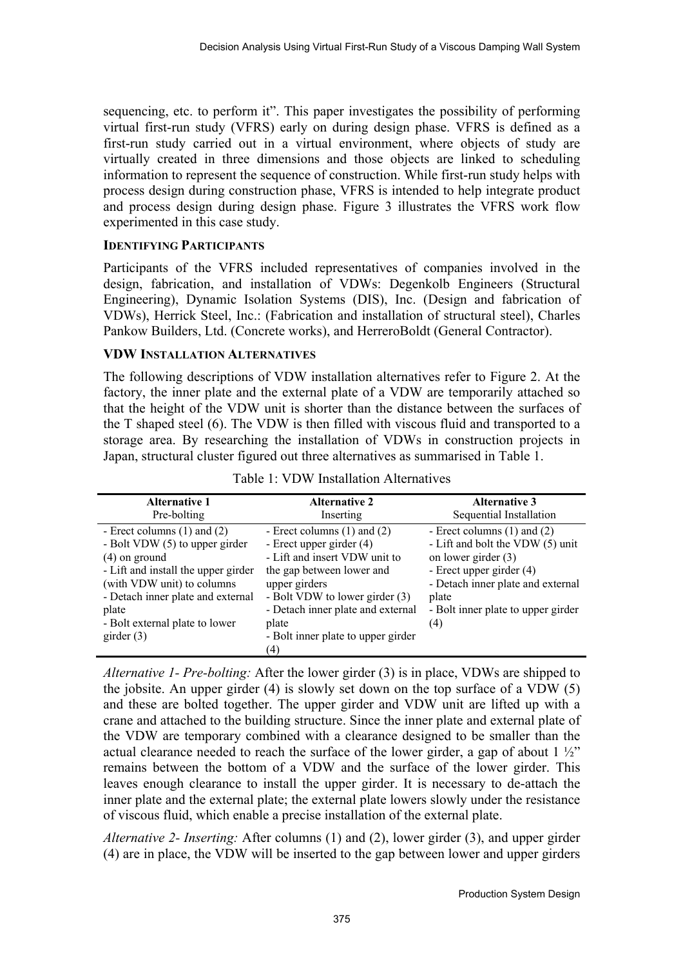sequencing, etc. to perform it". This paper investigates the possibility of performing virtual first-run study (VFRS) early on during design phase. VFRS is defined as a first-run study carried out in a virtual environment, where objects of study are virtually created in three dimensions and those objects are linked to scheduling information to represent the sequence of construction. While first-run study helps with process design during construction phase, VFRS is intended to help integrate product and process design during design phase. Figure 3 illustrates the VFRS work flow experimented in this case study.

#### **IDENTIFYING PARTICIPANTS**

Participants of the VFRS included representatives of companies involved in the design, fabrication, and installation of VDWs: Degenkolb Engineers (Structural Engineering), Dynamic Isolation Systems (DIS), Inc. (Design and fabrication of VDWs), Herrick Steel, Inc.: (Fabrication and installation of structural steel), Charles Pankow Builders, Ltd. (Concrete works), and HerreroBoldt (General Contractor).

## **VDW INSTALLATION ALTERNATIVES**

The following descriptions of VDW installation alternatives refer to Figure 2. At the factory, the inner plate and the external plate of a VDW are temporarily attached so that the height of the VDW unit is shorter than the distance between the surfaces of the T shaped steel (6). The VDW is then filled with viscous fluid and transported to a storage area. By researching the installation of VDWs in construction projects in Japan, structural cluster figured out three alternatives as summarised in Table 1.

| <b>Alternative 1</b>                                                                                                                                                                                                                                      | <b>Alternative 2</b>                                                                                                                                                                                                                                                    | <b>Alternative 3</b>                                                                                                                                                                                                |
|-----------------------------------------------------------------------------------------------------------------------------------------------------------------------------------------------------------------------------------------------------------|-------------------------------------------------------------------------------------------------------------------------------------------------------------------------------------------------------------------------------------------------------------------------|---------------------------------------------------------------------------------------------------------------------------------------------------------------------------------------------------------------------|
| Pre-bolting                                                                                                                                                                                                                                               | Inserting                                                                                                                                                                                                                                                               | Sequential Installation                                                                                                                                                                                             |
| - Erect columns $(1)$ and $(2)$<br>- Bolt VDW (5) to upper girder<br>$(4)$ on ground<br>- Lift and install the upper girder<br>(with VDW unit) to columns<br>- Detach inner plate and external<br>plate<br>- Bolt external plate to lower<br>girder $(3)$ | - Erect columns $(1)$ and $(2)$<br>- Erect upper girder (4)<br>- Lift and insert VDW unit to<br>the gap between lower and<br>upper girders<br>- Bolt VDW to lower girder (3)<br>- Detach inner plate and external<br>plate<br>- Bolt inner plate to upper girder<br>(4) | - Erect columns $(1)$ and $(2)$<br>- Lift and bolt the VDW (5) unit<br>on lower girder $(3)$<br>- Erect upper girder (4)<br>- Detach inner plate and external<br>plate<br>- Bolt inner plate to upper girder<br>(4) |

Table 1: VDW Installation Alternatives

*Alternative 1- Pre-bolting:* After the lower girder (3) is in place, VDWs are shipped to the jobsite. An upper girder (4) is slowly set down on the top surface of a VDW (5) and these are bolted together. The upper girder and VDW unit are lifted up with a crane and attached to the building structure. Since the inner plate and external plate of the VDW are temporary combined with a clearance designed to be smaller than the actual clearance needed to reach the surface of the lower girder, a gap of about  $1\frac{1}{2}$ " remains between the bottom of a VDW and the surface of the lower girder. This leaves enough clearance to install the upper girder. It is necessary to de-attach the inner plate and the external plate; the external plate lowers slowly under the resistance of viscous fluid, which enable a precise installation of the external plate.

*Alternative 2- Inserting:* After columns (1) and (2), lower girder (3), and upper girder (4) are in place, the VDW will be inserted to the gap between lower and upper girders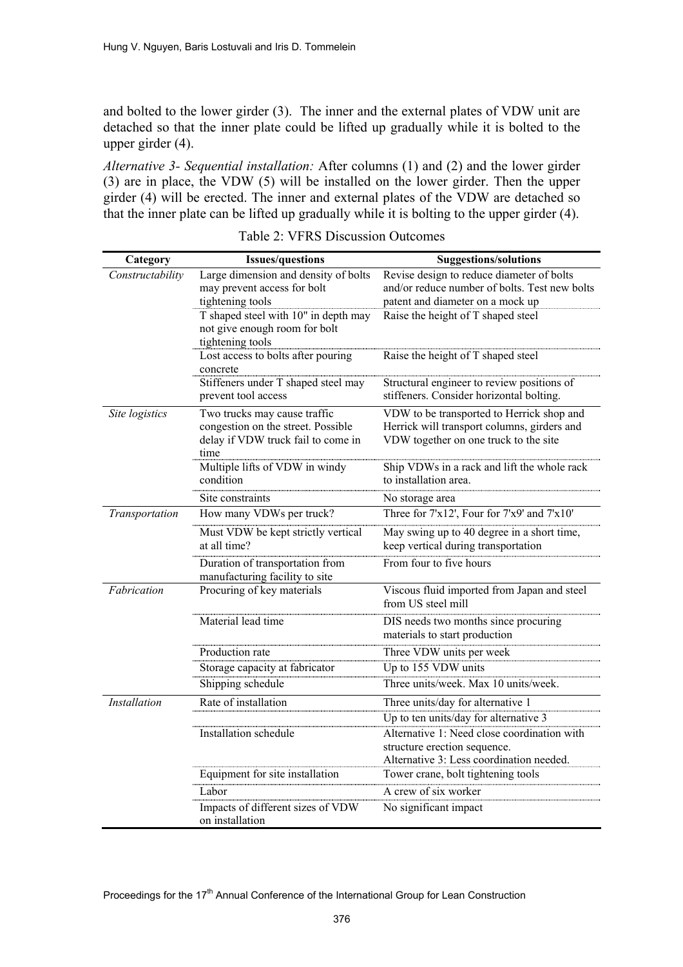and bolted to the lower girder (3). The inner and the external plates of VDW unit are detached so that the inner plate could be lifted up gradually while it is bolted to the upper girder (4).

*Alternative 3- Sequential installation:* After columns (1) and (2) and the lower girder (3) are in place, the VDW (5) will be installed on the lower girder. Then the upper girder (4) will be erected. The inner and external plates of the VDW are detached so that the inner plate can be lifted up gradually while it is bolting to the upper girder (4).

| Category            | <b>Issues/questions</b>                                                          | <b>Suggestions/solutions</b>                                                               |
|---------------------|----------------------------------------------------------------------------------|--------------------------------------------------------------------------------------------|
| Constructability    | Large dimension and density of bolts<br>may prevent access for bolt              | Revise design to reduce diameter of bolts<br>and/or reduce number of bolts. Test new bolts |
|                     | tightening tools<br>T shaped steel with 10" in depth may                         | patent and diameter on a mock up<br>Raise the height of T shaped steel                     |
|                     | not give enough room for bolt                                                    |                                                                                            |
|                     | tightening tools                                                                 |                                                                                            |
|                     | Lost access to bolts after pouring<br>concrete                                   | Raise the height of T shaped steel                                                         |
|                     | Stiffeners under T shaped steel may<br>prevent tool access                       | Structural engineer to review positions of<br>stiffeners. Consider horizontal bolting.     |
| Site logistics      | Two trucks may cause traffic                                                     | VDW to be transported to Herrick shop and                                                  |
|                     | congestion on the street. Possible<br>delay if VDW truck fail to come in<br>time | Herrick will transport columns, girders and<br>VDW together on one truck to the site       |
|                     | Multiple lifts of VDW in windy<br>condition                                      | Ship VDWs in a rack and lift the whole rack<br>to installation area.                       |
|                     | Site constraints                                                                 | No storage area                                                                            |
| Transportation      | How many VDWs per truck?                                                         | Three for 7'x12', Four for 7'x9' and 7'x10'                                                |
|                     | Must VDW be kept strictly vertical<br>at all time?                               | May swing up to 40 degree in a short time,<br>keep vertical during transportation          |
|                     | Duration of transportation from<br>manufacturing facility to site                | From four to five hours                                                                    |
| Fabrication         | Procuring of key materials                                                       | Viscous fluid imported from Japan and steel<br>from US steel mill                          |
|                     | Material lead time                                                               | DIS needs two months since procuring<br>materials to start production                      |
|                     | Production rate                                                                  | Three VDW units per week                                                                   |
|                     | Storage capacity at fabricator                                                   | Up to 155 VDW units                                                                        |
|                     | Shipping schedule                                                                | Three units/week. Max 10 units/week.                                                       |
| <b>Installation</b> | Rate of installation                                                             | Three units/day for alternative 1                                                          |
|                     |                                                                                  | Up to ten units/day for alternative 3                                                      |
|                     | Installation schedule                                                            | Alternative 1: Need close coordination with<br>structure erection sequence.                |
|                     |                                                                                  | Alternative 3: Less coordination needed.                                                   |
|                     | Equipment for site installation                                                  | Tower crane, bolt tightening tools                                                         |
|                     | Labor                                                                            | A crew of six worker                                                                       |
|                     | Impacts of different sizes of VDW<br>on installation                             | No significant impact                                                                      |

Table 2: VFRS Discussion Outcomes

Proceedings for the 17<sup>th</sup> Annual Conference of the International Group for Lean Construction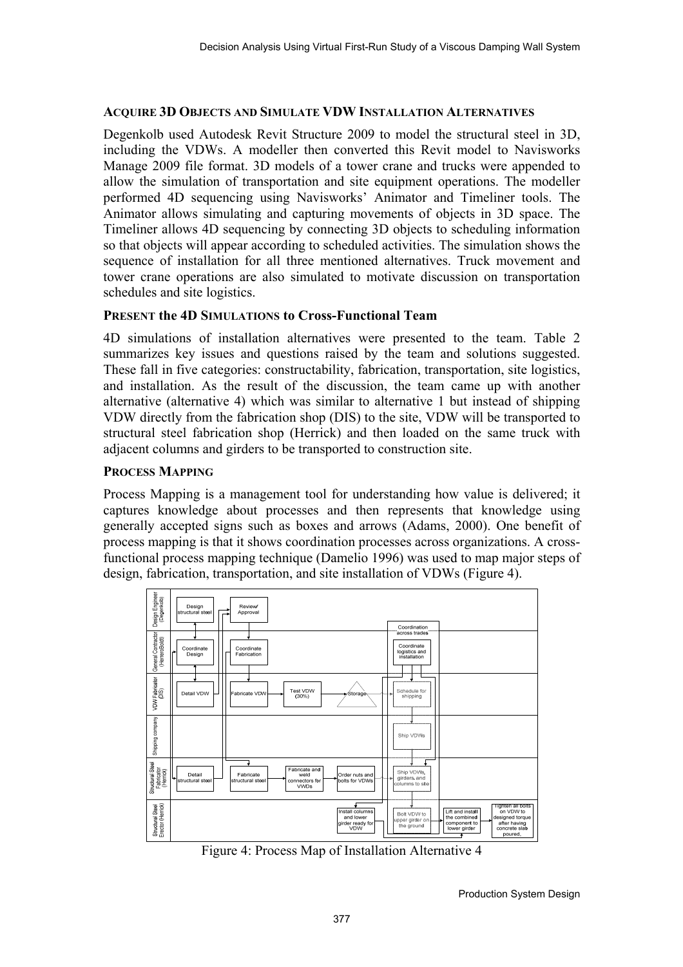#### **ACQUIRE 3D OBJECTS AND SIMULATE VDW INSTALLATION ALTERNATIVES**

Degenkolb used Autodesk Revit Structure 2009 to model the structural steel in 3D, including the VDWs. A modeller then converted this Revit model to Navisworks Manage 2009 file format. 3D models of a tower crane and trucks were appended to allow the simulation of transportation and site equipment operations. The modeller performed 4D sequencing using Navisworks' Animator and Timeliner tools. The Animator allows simulating and capturing movements of objects in 3D space. The Timeliner allows 4D sequencing by connecting 3D objects to scheduling information so that objects will appear according to scheduled activities. The simulation shows the sequence of installation for all three mentioned alternatives. Truck movement and tower crane operations are also simulated to motivate discussion on transportation schedules and site logistics.

#### **PRESENT the 4D SIMULATIONS to Cross-Functional Team**

4D simulations of installation alternatives were presented to the team. Table 2 summarizes key issues and questions raised by the team and solutions suggested. These fall in five categories: constructability, fabrication, transportation, site logistics, and installation. As the result of the discussion, the team came up with another alternative (alternative 4) which was similar to alternative 1 but instead of shipping VDW directly from the fabrication shop (DIS) to the site, VDW will be transported to structural steel fabrication shop (Herrick) and then loaded on the same truck with adjacent columns and girders to be transported to construction site.

#### **PROCESS MAPPING**

Process Mapping is a management tool for understanding how value is delivered; it captures knowledge about processes and then represents that knowledge using generally accepted signs such as boxes and arrows (Adams, 2000). One benefit of process mapping is that it shows coordination processes across organizations. A crossfunctional process mapping technique (Damelio 1996) was used to map major steps of design, fabrication, transportation, and site installation of VDWs (Figure 4).



Figure 4: Process Map of Installation Alternative 4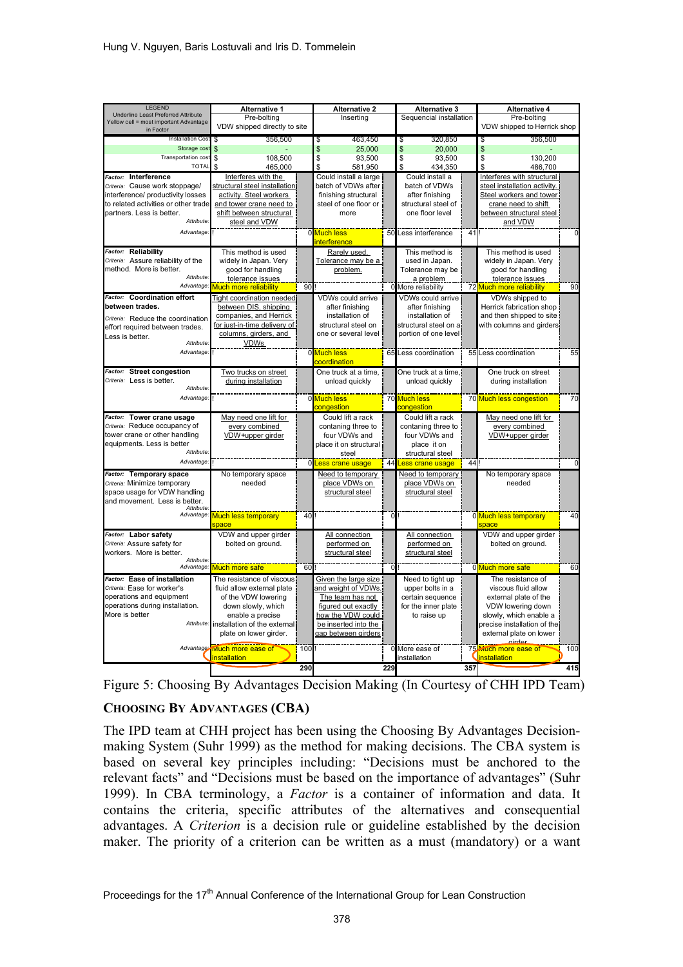| <b>LEGEND</b>                                           | Alternative 1                                     |     | <b>Alternative 2</b>                    |          | <b>Alternative 3</b>                 |     | <b>Alternative 4</b>                        |                |  |  |
|---------------------------------------------------------|---------------------------------------------------|-----|-----------------------------------------|----------|--------------------------------------|-----|---------------------------------------------|----------------|--|--|
| Underline Least Preferred Attribute                     | Pre-bolting                                       |     | Inserting                               |          | Sequencial installation              |     | Pre-bolting                                 |                |  |  |
| Yellow cell = most important Advantage<br>in Factor     | VDW shipped directly to site                      |     |                                         |          |                                      |     | VDW shipped to Herrick shop                 |                |  |  |
| Installation Cost                                       | 356,500<br>S                                      |     | \$<br>463,450                           |          | 320,850<br>\$                        |     | 356,500<br>S                                |                |  |  |
| Storage cost                                            | $\mathbf{s}$                                      |     | \$<br>25.000                            |          | \$<br>20,000                         |     | \$                                          |                |  |  |
| <b>Transportation cost</b>                              | \$<br>108,500                                     |     | \$<br>93,500                            |          | $\overline{\mathbb{S}}$<br>93,500    |     | \$<br>130,200                               |                |  |  |
| <b>TOTAL</b>                                            | \$<br>465,000                                     |     | \$<br>581.950                           |          | \$<br>434.350                        |     | \$<br>486,700                               |                |  |  |
| Factor: Interference                                    | Interferes with the                               |     | Could install a large                   |          | Could install a                      |     | Interferes with structural                  |                |  |  |
| Criteria: Cause work stoppage/                          | structural steel installation                     |     | batch of VDWs after                     |          | batch of VDWs                        |     | steel installation activity.                |                |  |  |
| interference/ productivity losses                       | activity. Steel workers                           |     | finishing structural                    |          | after finishing                      |     | Steel workers and tower                     |                |  |  |
| to related activities or other trade                    | and tower crane need to                           |     | steel of one floor or                   |          | structural steel of                  |     | crane need to shift                         |                |  |  |
| partners. Less is better.                               | shift between structural                          |     | more                                    |          | one floor level                      |     | between structural steel                    |                |  |  |
| Attribute.                                              | steel and VDW                                     |     |                                         |          |                                      |     | and VDW                                     |                |  |  |
| Advantage:                                              |                                                   |     | 0 Much less                             | 50       | Less interference                    | 41  |                                             | $\mathbf 0$    |  |  |
|                                                         |                                                   |     | interference                            |          |                                      |     |                                             |                |  |  |
| Factor: Reliability                                     | This method is used                               |     | Rarely used.                            |          | This method is                       |     | This method is used                         |                |  |  |
| Criteria: Assure reliability of the                     | widely in Japan. Very                             |     | Tolerance may be a                      |          | used in Japan.                       |     | widely in Japan. Very                       |                |  |  |
| method. More is better.                                 | good for handling                                 |     | problem.                                |          | Tolerance may be                     |     | good for handling                           |                |  |  |
| Attribute:                                              | tolerance issues                                  |     |                                         |          | a problem                            |     | <u>Lolerance issues</u>                     |                |  |  |
| Advantage:                                              | Much more reliability                             | 90  |                                         |          | 0 More reliability                   |     | 72 Much more reliability                    | 90             |  |  |
| Factor: Coordination effort                             | <b>Tight coordination needed</b>                  |     | VDWs could arrive                       |          | <b>VDWs could arrive</b>             |     | VDWs shipped to                             |                |  |  |
| between trades.                                         | between DIS, shipping                             |     | after finishing                         |          | after finishing                      |     | Herrick fabrication shop                    |                |  |  |
| Criteria: Reduce the coordination                       | companies, and Herrick                            |     | installation of                         |          | installation of                      |     | and then shipped to site                    |                |  |  |
| effort required between trades.                         | for just-in-time delivery of                      |     | structural steel on                     |          | structural steel on al               |     | with columns and girders                    |                |  |  |
| Less is better.                                         | columns, girders, and                             |     | one or several level                    |          | portion of one level!                |     |                                             |                |  |  |
| Attribute:                                              | <b>VDWs</b>                                       |     |                                         |          |                                      |     |                                             |                |  |  |
| Advantage.                                              |                                                   |     | 0 Much less                             |          | 65 Less coordination                 |     | 55 Less coordination                        | 55             |  |  |
|                                                         |                                                   |     | coordination                            |          |                                      |     |                                             |                |  |  |
| Factor: Street congestion                               | Two trucks on street                              |     | One truck at a time,                    |          | One truck at a time,                 |     | One truck on street                         |                |  |  |
| Criteria: Less is better.                               | during installation                               |     | unload quickly                          |          | unload quickly                       |     | during installation                         |                |  |  |
| Attribute.<br>Advantage.                                |                                                   |     |                                         |          |                                      |     |                                             |                |  |  |
|                                                         |                                                   |     | 0 Much less<br>congestion               |          | 70 Much less<br>congestion           |     | 70 Much less congestion                     | 70             |  |  |
| Factor: Tower crane usage                               | May need one lift for                             |     | Could lift a rack                       |          | Could lift a rack                    |     | May need one lift for                       |                |  |  |
| Criteria: Reduce occupancy of                           | every combined                                    |     | contaning three to                      |          | contaning three to                   |     | every combined                              |                |  |  |
| tower crane or other handling                           | VDW+upper girder                                  |     | four VDWs and                           |          | four VDWs and                        |     | VDW+upper girder                            |                |  |  |
| equipments. Less is better                              |                                                   |     | place it on structural                  |          | place it on                          |     |                                             |                |  |  |
| <b>Attribute</b>                                        |                                                   |     | steel                                   |          | structural steel                     |     |                                             |                |  |  |
| Advantage.                                              |                                                   |     | 0 Less crane usage                      | 44       | Less crane usage                     | 44  |                                             | $\overline{0}$ |  |  |
| Factor: Temporary space                                 | No temporary space                                |     | Need to temporary                       |          | Need to temporary                    |     | No temporary space                          |                |  |  |
| Criteria: Minimize temporary                            | needed                                            |     | place VDWs on                           |          | place VDWs on                        |     | needed                                      |                |  |  |
| space usage for VDW handling                            |                                                   |     | structural steel                        |          | structural steel                     |     |                                             |                |  |  |
| and movement. Less is better.                           |                                                   |     |                                         |          |                                      |     |                                             |                |  |  |
| Attribute.<br>Advantage:                                | <b>Much less temporary</b>                        | 40  |                                         | $\Omega$ |                                      |     | 0 Much less temporary                       | 40             |  |  |
|                                                         | space                                             |     |                                         |          |                                      |     | pace                                        |                |  |  |
| Factor: Labor safety                                    | VDW and upper girder                              |     | All connection                          |          | All connection                       |     | VDW and upper girder                        |                |  |  |
| Criteria: Assure safety for                             | bolted on ground.                                 |     | performed on                            |          | performed on                         |     | bolted on ground.                           |                |  |  |
| workers. More is better.                                |                                                   |     | structural steel                        |          | structural steel                     |     |                                             |                |  |  |
| Attribute<br>Advantage.                                 |                                                   | 60  |                                         | O        |                                      |     |                                             | 60             |  |  |
|                                                         | Much more safe                                    |     |                                         |          |                                      |     | 0 Much more safe                            |                |  |  |
| Factor: Ease of installation                            | The resistance of viscous                         |     | Given the large size                    |          | Need to tight up                     |     | The resistance of                           |                |  |  |
| Criteria: Ease for worker's<br>operations and equipment | fluid allow external plate<br>of the VDW lowering |     | and weight of VDWs.                     |          | upper bolts in a<br>certain sequence |     | viscous fluid allow                         |                |  |  |
| operations during installation.                         |                                                   |     | The team has not<br>figured out exactly |          |                                      |     | external plate of the                       |                |  |  |
| More is better                                          | down slowly, which<br>enable a precise            |     | how the VDW could                       |          | for the inner plate<br>to raise up   |     | VDW lowering down<br>slowly, which enable a |                |  |  |
| Attribute:                                              | installation of the external                      |     | be inserted into the                    |          |                                      |     | precise installation of the                 |                |  |  |
|                                                         | plate on lower girder.                            |     | gap between girders                     |          |                                      |     | external plate on lower                     |                |  |  |
|                                                         |                                                   |     |                                         |          |                                      |     | nirdor                                      |                |  |  |
|                                                         | Advantage Much more ease of                       | 100 |                                         |          | 0 More ease of                       |     | 75 Much more ease of                        | 100            |  |  |
|                                                         | installation                                      |     |                                         |          | installation                         |     | <b>Linstallation</b>                        |                |  |  |
|                                                         |                                                   | 290 |                                         | 229      |                                      | 357 |                                             | 415            |  |  |

|  | Figure 5: Choosing By Advantages Decision Making (In Courtesy of CHH IPD Team) |  |  |  |  |  |  |  |  |  |  |  |
|--|--------------------------------------------------------------------------------|--|--|--|--|--|--|--|--|--|--|--|
|--|--------------------------------------------------------------------------------|--|--|--|--|--|--|--|--|--|--|--|

# **CHOOSING BY ADVANTAGES (CBA)**

The IPD team at CHH project has been using the Choosing By Advantages Decisionmaking System (Suhr 1999) as the method for making decisions. The CBA system is based on several key principles including: "Decisions must be anchored to the relevant facts" and "Decisions must be based on the importance of advantages" (Suhr 1999). In CBA terminology, a *Factor* is a container of information and data. It contains the criteria, specific attributes of the alternatives and consequential advantages. A *Criterion* is a decision rule or guideline established by the decision maker. The priority of a criterion can be written as a must (mandatory) or a want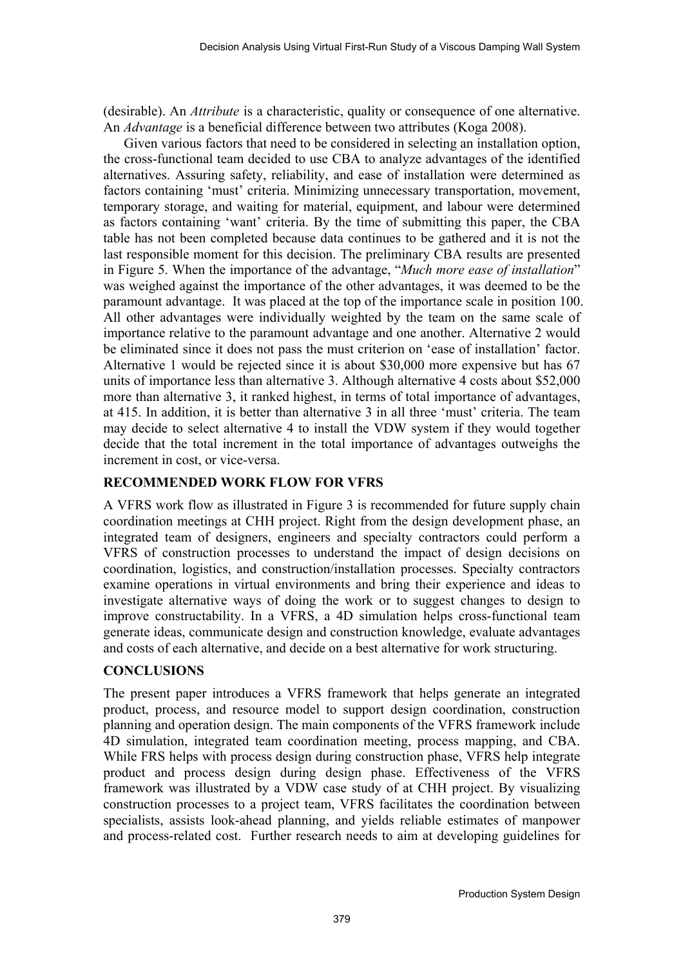(desirable). An *Attribute* is a characteristic, quality or consequence of one alternative. An *Advantage* is a beneficial difference between two attributes (Koga 2008).

Given various factors that need to be considered in selecting an installation option, the cross-functional team decided to use CBA to analyze advantages of the identified alternatives. Assuring safety, reliability, and ease of installation were determined as factors containing 'must' criteria. Minimizing unnecessary transportation, movement, temporary storage, and waiting for material, equipment, and labour were determined as factors containing 'want' criteria. By the time of submitting this paper, the CBA table has not been completed because data continues to be gathered and it is not the last responsible moment for this decision. The preliminary CBA results are presented in Figure 5. When the importance of the advantage, "*Much more ease of installation*" was weighed against the importance of the other advantages, it was deemed to be the paramount advantage. It was placed at the top of the importance scale in position 100. All other advantages were individually weighted by the team on the same scale of importance relative to the paramount advantage and one another. Alternative 2 would be eliminated since it does not pass the must criterion on 'ease of installation' factor. Alternative 1 would be rejected since it is about \$30,000 more expensive but has 67 units of importance less than alternative 3. Although alternative 4 costs about \$52,000 more than alternative 3, it ranked highest, in terms of total importance of advantages, at 415. In addition, it is better than alternative 3 in all three 'must' criteria. The team may decide to select alternative 4 to install the VDW system if they would together decide that the total increment in the total importance of advantages outweighs the increment in cost, or vice-versa.

# **RECOMMENDED WORK FLOW FOR VFRS**

A VFRS work flow as illustrated in Figure 3 is recommended for future supply chain coordination meetings at CHH project. Right from the design development phase, an integrated team of designers, engineers and specialty contractors could perform a VFRS of construction processes to understand the impact of design decisions on coordination, logistics, and construction/installation processes. Specialty contractors examine operations in virtual environments and bring their experience and ideas to investigate alternative ways of doing the work or to suggest changes to design to improve constructability. In a VFRS, a 4D simulation helps cross-functional team generate ideas, communicate design and construction knowledge, evaluate advantages and costs of each alternative, and decide on a best alternative for work structuring.

# **CONCLUSIONS**

The present paper introduces a VFRS framework that helps generate an integrated product, process, and resource model to support design coordination, construction planning and operation design. The main components of the VFRS framework include 4D simulation, integrated team coordination meeting, process mapping, and CBA. While FRS helps with process design during construction phase, VFRS help integrate product and process design during design phase. Effectiveness of the VFRS framework was illustrated by a VDW case study of at CHH project. By visualizing construction processes to a project team, VFRS facilitates the coordination between specialists, assists look-ahead planning, and yields reliable estimates of manpower and process-related cost. Further research needs to aim at developing guidelines for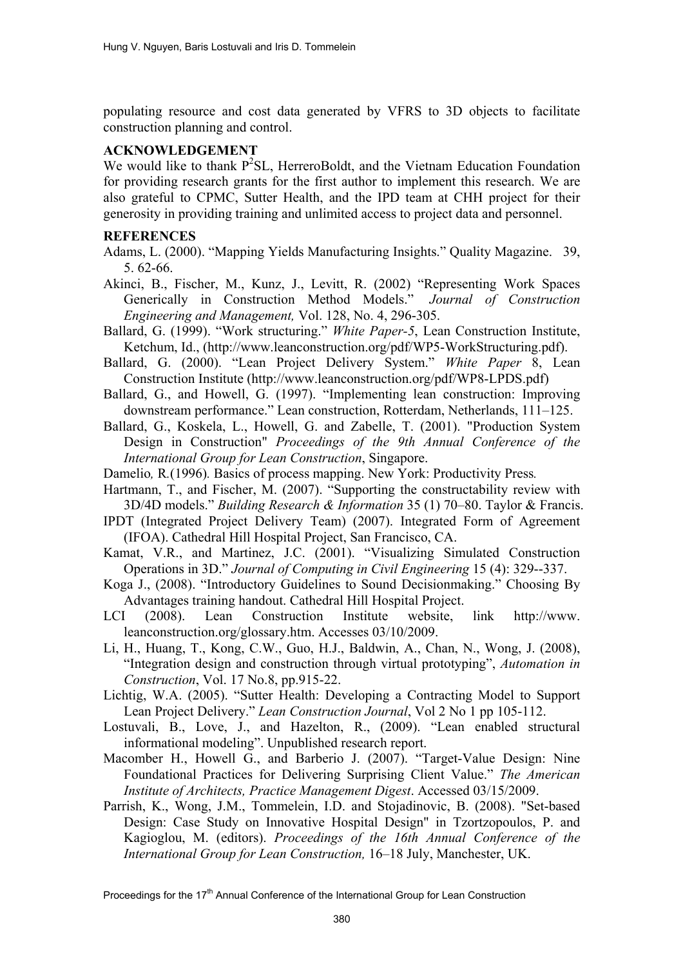populating resource and cost data generated by VFRS to 3D objects to facilitate construction planning and control.

## **ACKNOWLEDGEMENT**

We would like to thank  $P^2SL$ , HerreroBoldt, and the Vietnam Education Foundation for providing research grants for the first author to implement this research. We are also grateful to CPMC, Sutter Health, and the IPD team at CHH project for their generosity in providing training and unlimited access to project data and personnel.

#### **REFERENCES**

- Adams, L. (2000). "Mapping Yields Manufacturing Insights." Quality Magazine. 39, 5. 62-66.
- Akinci, B., Fischer, M., Kunz, J., Levitt, R. (2002) "Representing Work Spaces Generically in Construction Method Models." *Journal of Construction Engineering and Management,* Vol. 128, No. 4, 296-305.
- Ballard, G. (1999). "Work structuring." *White Paper-5*, Lean Construction Institute, Ketchum, Id., (http://www.leanconstruction.org/pdf/WP5-WorkStructuring.pdf).
- Ballard, G. (2000). "Lean Project Delivery System." *White Paper* 8, Lean Construction Institute (http://www.leanconstruction.org/pdf/WP8-LPDS.pdf)
- Ballard, G., and Howell, G. (1997). "Implementing lean construction: Improving downstream performance." Lean construction, Rotterdam, Netherlands, 111–125.
- Ballard, G., Koskela, L., Howell, G. and Zabelle, T. (2001). "Production System Design in Construction" *Proceedings of the 9th Annual Conference of the International Group for Lean Construction*, Singapore.
- Damelio*,* R*.*(1996)*.* Basics of process mapping. New York: Productivity Press*.*
- Hartmann, T., and Fischer, M. (2007). "Supporting the constructability review with 3D/4D models." *Building Research & Information* 35 (1) 70–80. Taylor & Francis.
- IPDT (Integrated Project Delivery Team) (2007). Integrated Form of Agreement (IFOA). Cathedral Hill Hospital Project, San Francisco, CA.
- Kamat, V.R., and Martinez, J.C. (2001). "Visualizing Simulated Construction Operations in 3D." *Journal of Computing in Civil Engineering* 15 (4): 329--337.
- Koga J., (2008). "Introductory Guidelines to Sound Decisionmaking." Choosing By Advantages training handout. Cathedral Hill Hospital Project.
- LCI (2008). Lean Construction Institute website, link http://www. leanconstruction.org/glossary.htm. Accesses 03/10/2009.
- Li, H., Huang, T., Kong, C.W., Guo, H.J., Baldwin, A., Chan, N., Wong, J. (2008), "Integration design and construction through virtual prototyping", *Automation in Construction*, Vol. 17 No.8, pp.915-22.
- Lichtig, W.A. (2005). "Sutter Health: Developing a Contracting Model to Support Lean Project Delivery." *Lean Construction Journal*, Vol 2 No 1 pp 105-112.
- Lostuvali, B., Love, J., and Hazelton, R., (2009). "Lean enabled structural informational modeling". Unpublished research report.
- Macomber H., Howell G., and Barberio J. (2007). "Target-Value Design: Nine Foundational Practices for Delivering Surprising Client Value." *The American Institute of Architects, Practice Management Digest*. Accessed 03/15/2009.
- Parrish, K., Wong, J.M., Tommelein, I.D. and Stojadinovic, B. (2008). "Set-based Design: Case Study on Innovative Hospital Design" in Tzortzopoulos, P. and Kagioglou, M. (editors). *Proceedings of the 16th Annual Conference of the International Group for Lean Construction,* 16–18 July, Manchester, UK.

Proceedings for the 17<sup>th</sup> Annual Conference of the International Group for Lean Construction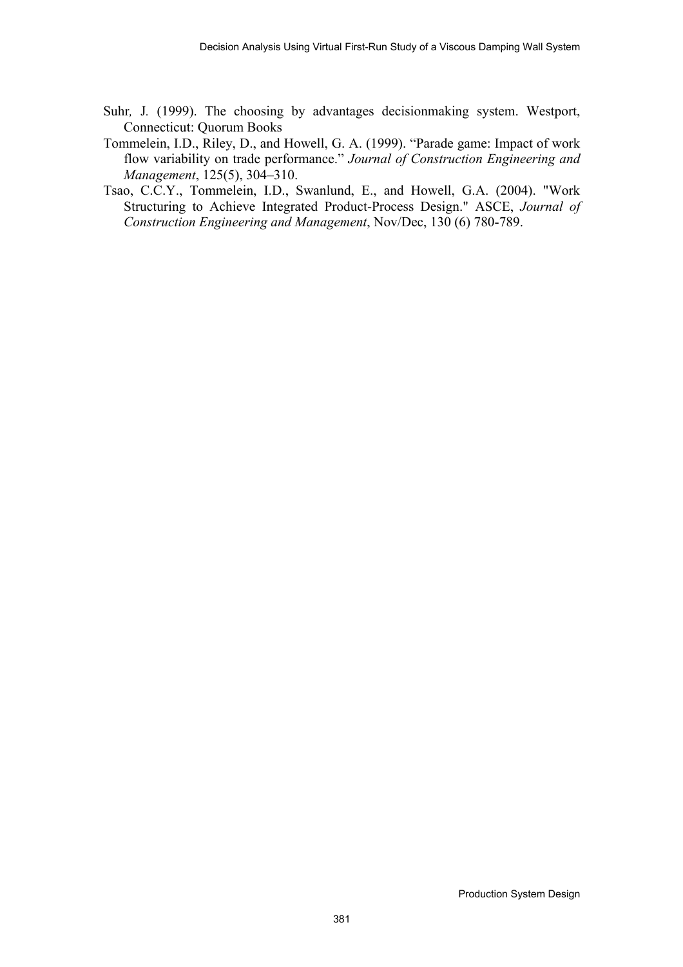- Suhr*,* J*.* (1999). The choosing by advantages decisionmaking system. Westport, Connecticut: Quorum Books
- Tommelein, I.D., Riley, D., and Howell, G. A. (1999). "Parade game: Impact of work flow variability on trade performance." *Journal of Construction Engineering and Management*, 125(5), 304–310.
- Tsao, C.C.Y., Tommelein, I.D., Swanlund, E., and Howell, G.A. (2004). "Work Structuring to Achieve Integrated Product-Process Design." ASCE, *Journal of Construction Engineering and Management*, Nov/Dec, 130 (6) 780-789.